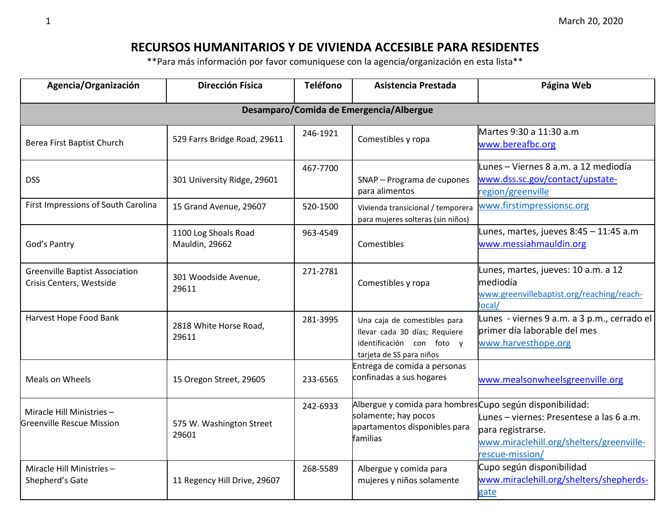## **RECURSOS HUMANITARIOS Y DE VIVIENDA ACCESIBLE PARA RESIDENTES**

\*\*Para más información por favor comuniquese con la agencia/organización en esta lista\*\*

| Agencia/Organización                                              | <b>Dirección Física</b>                       | <b>Teléfono</b> | Asistencia Prestada                                                                                                            | Página Web                                                                                                                   |
|-------------------------------------------------------------------|-----------------------------------------------|-----------------|--------------------------------------------------------------------------------------------------------------------------------|------------------------------------------------------------------------------------------------------------------------------|
|                                                                   |                                               |                 | Desamparo/Comida de Emergencia/Albergue                                                                                        |                                                                                                                              |
| Berea First Baptist Church                                        | 529 Farrs Bridge Road, 29611                  | 246-1921        | Comestibles y ropa                                                                                                             | Martes 9:30 a 11:30 a.m<br>www.bereafbc.org                                                                                  |
| <b>DSS</b>                                                        | 301 University Ridge, 29601                   | 467-7700        | SNAP - Programa de cupones<br>para alimentos                                                                                   | Lunes - Viernes 8 a.m. a 12 mediodía<br>www.dss.sc.gov/contact/upstate-<br>region/greenville                                 |
| First Impressions of South Carolina                               | 15 Grand Avenue, 29607                        | 520-1500        | Vivienda transicional / temporera<br>para mujeres solteras (sin niños)                                                         | www.firstimpressionsc.org                                                                                                    |
| God's Pantry                                                      | 1100 Log Shoals Road<br><b>Mauldin, 29662</b> | 963-4549        | Comestibles                                                                                                                    | Lunes, martes, jueves 8:45 - 11:45 a.m<br>www.messiahmauldin.org                                                             |
| <b>Greenville Baptist Association</b><br>Crisis Centers, Westside | 301 Woodside Avenue,<br>29611                 | 271-2781        | Comestibles y ropa                                                                                                             | Lunes, martes, jueves: 10 a.m. a 12<br>mediodía<br>www.greenvillebaptist.org/reaching/reach-<br>local/                       |
| Harvest Hope Food Bank                                            | 2818 White Horse Road,<br>29611               | 281-3995        | Una caja de comestibles para<br>llevar cada 30 días; Requiere<br>identificación con foto y<br>tarjeta de SS para niños         | Lunes - viernes 9 a.m. a 3 p.m., cerrado el<br>primer día laborable del mes<br>www.harvesthope.org                           |
| Meals on Wheels                                                   | 15 Oregon Street, 29605                       | 233-6565        | Entrega de comida a personas<br>confinadas a sus hogares                                                                       | www.mealsonwheelsgreenville.org                                                                                              |
| Miracle Hill Ministries -<br><b>Greenville Rescue Mission</b>     | 575 W. Washington Street<br>29601             | 242-6933        | Albergue y comida para hombres Cupo según disponibilidad:<br>solamente; hay pocos<br>apartamentos disponibles para<br>familias | Lunes – viernes: Presentese a las 6 a.m.<br>para registrarse.<br>www.miraclehill.org/shelters/greenville-<br>rescue-mission/ |
| Miracle Hill Ministries -<br>Shepherd's Gate                      | 11 Regency Hill Drive, 29607                  | 268-5589        | Albergue y comida para<br>mujeres y niños solamente                                                                            | Cupo según disponibilidad<br>www.miraclehill.org/shelters/shepherds-<br>gate                                                 |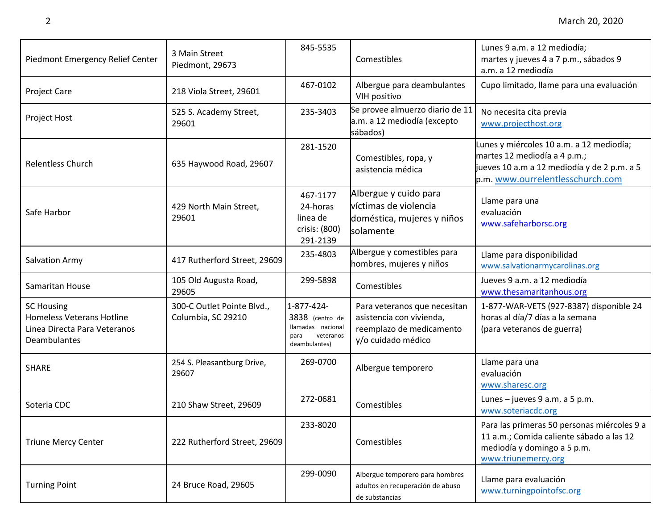| Piedmont Emergency Relief Center                                                                             | 3 Main Street<br>Piedmont, 29673                 | 845-5535                                                                                 | Comestibles                                                                                                | Lunes 9 a.m. a 12 mediodía;<br>martes y jueves 4 a 7 p.m., sábados 9<br>a.m. a 12 mediodía                                                                  |
|--------------------------------------------------------------------------------------------------------------|--------------------------------------------------|------------------------------------------------------------------------------------------|------------------------------------------------------------------------------------------------------------|-------------------------------------------------------------------------------------------------------------------------------------------------------------|
| <b>Project Care</b>                                                                                          | 218 Viola Street, 29601                          | 467-0102                                                                                 | Albergue para deambulantes<br>VIH positivo                                                                 | Cupo limitado, llame para una evaluación                                                                                                                    |
| Project Host                                                                                                 | 525 S. Academy Street,<br>29601                  | 235-3403                                                                                 | Se provee almuerzo diario de 11<br>a.m. a 12 mediodía (excepto<br>sábados)                                 | No necesita cita previa<br>www.projecthost.org                                                                                                              |
| <b>Relentless Church</b>                                                                                     | 635 Haywood Road, 29607                          | 281-1520                                                                                 | Comestibles, ropa, y<br>asistencia médica                                                                  | Lunes y miércoles 10 a.m. a 12 mediodía;<br>martes 12 mediodía a 4 p.m.;<br>jueves 10 a.m a 12 mediodía y de 2 p.m. a 5<br>p.m. www.ourrelentlesschurch.com |
| Safe Harbor                                                                                                  | 429 North Main Street,<br>29601                  | 467-1177<br>24-horas<br>linea de<br>crisis: (800)<br>291-2139                            | Albergue y cuido para<br>víctimas de violencia<br>doméstica, mujeres y niños<br>solamente                  | Llame para una<br>evaluación<br>www.safeharborsc.org                                                                                                        |
| Salvation Army                                                                                               | 417 Rutherford Street, 29609                     | 235-4803                                                                                 | Albergue y comestibles para<br>hombres, mujeres y niños                                                    | Llame para disponibilidad<br>www.salvationarmycarolinas.org                                                                                                 |
| Samaritan House                                                                                              | 105 Old Augusta Road,<br>29605                   | 299-5898                                                                                 | Comestibles                                                                                                | Jueves 9 a.m. a 12 mediodía<br>www.thesamaritanhous.org                                                                                                     |
| <b>SC Housing</b><br><b>Homeless Veterans Hotline</b><br>Linea Directa Para Veteranos<br><b>Deambulantes</b> | 300-C Outlet Pointe Blvd.,<br>Columbia, SC 29210 | 1-877-424-<br>3838 (centro de<br>llamadas nacional<br>veteranos<br>para<br>deambulantes) | Para veteranos que necesitan<br>asistencia con vivienda,<br>reemplazo de medicamento<br>y/o cuidado médico | 1-877-WAR-VETS (927-8387) disponible 24<br>horas al día/7 días a la semana<br>(para veteranos de guerra)                                                    |
| <b>SHARE</b>                                                                                                 | 254 S. Pleasantburg Drive,<br>29607              | 269-0700                                                                                 | Albergue temporero                                                                                         | Llame para una<br>evaluación<br>www.sharesc.org                                                                                                             |
| Soteria CDC                                                                                                  | 210 Shaw Street, 29609                           | 272-0681                                                                                 | Comestibles                                                                                                | Lunes - jueves 9 a.m. a 5 p.m.<br>www.soteriacdc.org                                                                                                        |
| <b>Triune Mercy Center</b>                                                                                   | 222 Rutherford Street, 29609                     | 233-8020                                                                                 | Comestibles                                                                                                | Para las primeras 50 personas miércoles 9 a<br>11 a.m.; Comida caliente sábado a las 12<br>mediodía y domingo a 5 p.m.<br>www.triunemercy.org               |
| <b>Turning Point</b>                                                                                         | 24 Bruce Road, 29605                             | 299-0090                                                                                 | Albergue temporero para hombres<br>adultos en recuperación de abuso<br>de substancias                      | Llame para evaluación<br>www.turningpointofsc.org                                                                                                           |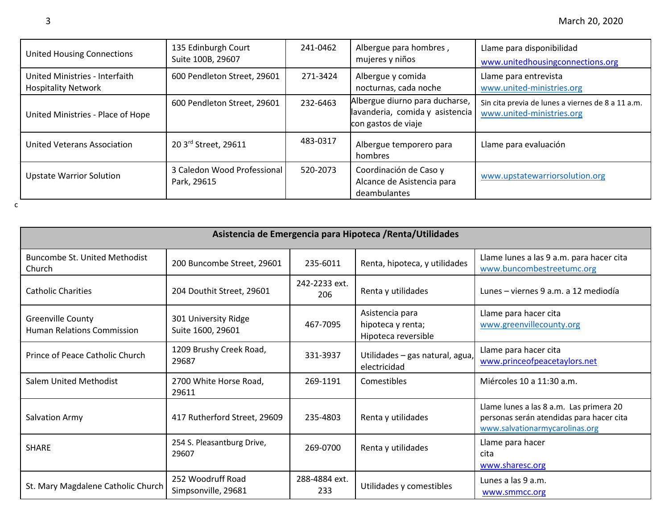| <b>United Housing Connections</b>                            | 135 Edinburgh Court<br>Suite 100B, 29607   | 241-0462 | Albergue para hombres,<br>mujeres y niños                                                | Llame para disponibilidad<br>www.unitedhousingconnections.org                  |
|--------------------------------------------------------------|--------------------------------------------|----------|------------------------------------------------------------------------------------------|--------------------------------------------------------------------------------|
| United Ministries - Interfaith<br><b>Hospitality Network</b> | 600 Pendleton Street, 29601                | 271-3424 | Albergue y comida<br>nocturnas, cada noche                                               | Llame para entrevista<br>www.united-ministries.org                             |
| United Ministries - Place of Hope                            | 600 Pendleton Street, 29601                | 232-6463 | Albergue diurno para ducharse,<br>lavanderia, comida y asistencia<br>con gastos de viaje | Sin cita previa de lunes a viernes de 8 a 11 a.m.<br>www.united-ministries.org |
| United Veterans Association                                  | 20 3rd Street, 29611                       | 483-0317 | Albergue temporero para<br>hombres                                                       | Llame para evaluación                                                          |
| <b>Upstate Warrior Solution</b>                              | 3 Caledon Wood Professional<br>Park, 29615 | 520-2073 | Coordinación de Caso y<br>Alcance de Asistencia para<br>deambulantes                     | www.upstatewarriorsolution.org                                                 |
|                                                              |                                            |          |                                                                                          |                                                                                |

| Asistencia de Emergencia para Hipoteca / Renta/Utilidades |                                           |                      |                                                             |                                                                                                                       |  |
|-----------------------------------------------------------|-------------------------------------------|----------------------|-------------------------------------------------------------|-----------------------------------------------------------------------------------------------------------------------|--|
| <b>Buncombe St. United Methodist</b><br>Church            | 200 Buncombe Street, 29601                | 235-6011             | Renta, hipoteca, y utilidades                               | Llame lunes a las 9 a.m. para hacer cita<br>www.buncombestreetumc.org                                                 |  |
| <b>Catholic Charities</b>                                 | 204 Douthit Street, 29601                 | 242-2233 ext.<br>206 | Renta y utilidades                                          | Lunes - viernes 9 a.m. a 12 mediodía                                                                                  |  |
| Greenville County<br><b>Human Relations Commission</b>    | 301 University Ridge<br>Suite 1600, 29601 | 467-7095             | Asistencia para<br>hipoteca y renta;<br>Hipoteca reversible | Llame para hacer cita<br>www.greenvillecounty.org                                                                     |  |
| Prince of Peace Catholic Church                           | 1209 Brushy Creek Road,<br>29687          | 331-3937             | Utilidades - gas natural, agua,<br>electricidad             | Llame para hacer cita<br>www.princeofpeacetaylors.net                                                                 |  |
| <b>Salem United Methodist</b>                             | 2700 White Horse Road,<br>29611           | 269-1191             | Comestibles                                                 | Miércoles 10 a 11:30 a.m.                                                                                             |  |
| Salvation Army                                            | 417 Rutherford Street, 29609              | 235-4803             | Renta y utilidades                                          | Llame lunes a las 8 a.m. Las primera 20<br>personas serán atendidas para hacer cita<br>www.salvationarmycarolinas.org |  |
| <b>SHARE</b>                                              | 254 S. Pleasantburg Drive,<br>29607       | 269-0700             | Renta y utilidades                                          | Llame para hacer<br>cita<br>www.sharesc.org                                                                           |  |
| St. Mary Magdalene Catholic Church                        | 252 Woodruff Road<br>Simpsonville, 29681  | 288-4884 ext.<br>233 | Utilidades y comestibles                                    | Lunes a las 9 a.m.<br>www.smmcc.org                                                                                   |  |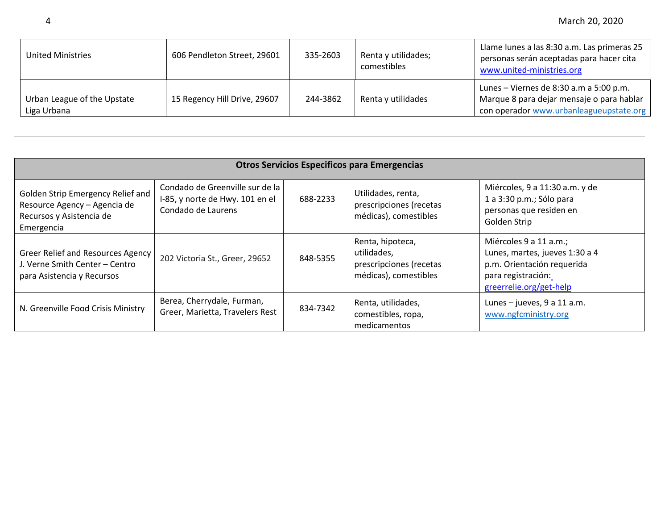| <b>United Ministries</b>                   | 606 Pendleton Street, 29601  | 335-2603 | Renta y utilidades;<br>comestibles | Llame lunes a las 8:30 a.m. Las primeras 25<br>personas serán aceptadas para hacer cita<br>www.united-ministries.org            |
|--------------------------------------------|------------------------------|----------|------------------------------------|---------------------------------------------------------------------------------------------------------------------------------|
| Urban League of the Upstate<br>Liga Urbana | 15 Regency Hill Drive, 29607 | 244-3862 | Renta y utilidades                 | Lunes – Viernes de 8:30 a.m a 5:00 p.m.<br>Marque 8 para dejar mensaje o para hablar<br>con operador www.urbanleagueupstate.org |

|                                                                                                             | <b>Otros Servicios Especificos para Emergencias</b>                                      |          |                                                                                     |                                                                                                                                         |  |
|-------------------------------------------------------------------------------------------------------------|------------------------------------------------------------------------------------------|----------|-------------------------------------------------------------------------------------|-----------------------------------------------------------------------------------------------------------------------------------------|--|
| Golden Strip Emergency Relief and<br>Resource Agency - Agencia de<br>Recursos y Asistencia de<br>Emergencia | Condado de Greenville sur de la<br>I-85, y norte de Hwy. 101 en el<br>Condado de Laurens | 688-2233 | Utilidades, renta,<br>prescripciones (recetas<br>médicas), comestibles              | Miércoles, 9 a 11:30 a.m. y de<br>1 a 3:30 p.m.; Sólo para<br>personas que residen en<br>Golden Strip                                   |  |
| <b>Greer Relief and Resources Agency</b><br>J. Verne Smith Center - Centro<br>para Asistencia y Recursos    | 202 Victoria St., Greer, 29652                                                           | 848-5355 | Renta, hipoteca,<br>utilidades,<br>prescripciones (recetas<br>médicas), comestibles | Miércoles 9 a 11 a.m.;<br>Lunes, martes, jueves 1:30 a 4<br>p.m. Orientación requerida<br>para registración:<br>greerrelie.org/get-help |  |
| N. Greenville Food Crisis Ministry                                                                          | Berea, Cherrydale, Furman,<br>Greer, Marietta, Travelers Rest                            | 834-7342 | Renta, utilidades,<br>comestibles, ropa,<br>medicamentos                            | Lunes $-$ jueves, 9 a 11 a.m.<br>www.ngfcministry.org                                                                                   |  |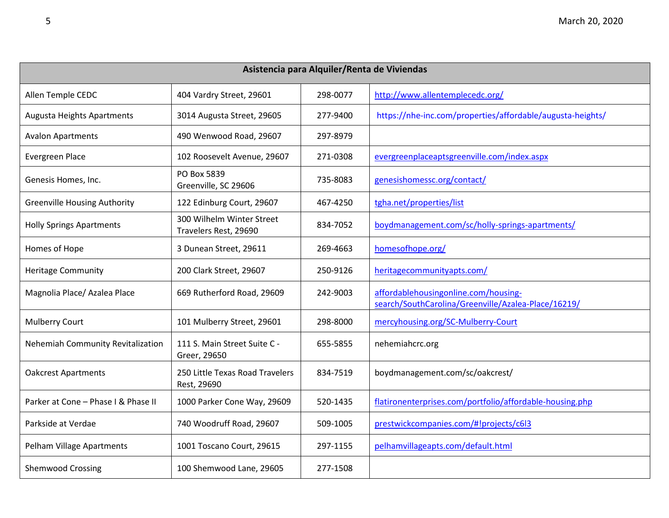| Asistencia para Alquiler/Renta de Viviendas |                                                    |          |                                                                                             |  |
|---------------------------------------------|----------------------------------------------------|----------|---------------------------------------------------------------------------------------------|--|
| Allen Temple CEDC                           | 404 Vardry Street, 29601                           | 298-0077 | http://www.allentemplecedc.org/                                                             |  |
| Augusta Heights Apartments                  | 3014 Augusta Street, 29605                         | 277-9400 | https://nhe-inc.com/properties/affordable/augusta-heights/                                  |  |
| <b>Avalon Apartments</b>                    | 490 Wenwood Road, 29607                            | 297-8979 |                                                                                             |  |
| <b>Evergreen Place</b>                      | 102 Roosevelt Avenue, 29607                        | 271-0308 | evergreenplaceaptsgreenville.com/index.aspx                                                 |  |
| Genesis Homes, Inc.                         | PO Box 5839<br>Greenville, SC 29606                | 735-8083 | genesishomessc.org/contact/                                                                 |  |
| <b>Greenville Housing Authority</b>         | 122 Edinburg Court, 29607                          | 467-4250 | tgha.net/properties/list                                                                    |  |
| <b>Holly Springs Apartments</b>             | 300 Wilhelm Winter Street<br>Travelers Rest, 29690 | 834-7052 | boydmanagement.com/sc/holly-springs-apartments/                                             |  |
| Homes of Hope                               | 3 Dunean Street, 29611                             | 269-4663 | homesofhope.org/                                                                            |  |
| <b>Heritage Community</b>                   | 200 Clark Street, 29607                            | 250-9126 | heritagecommunityapts.com/                                                                  |  |
| Magnolia Place/ Azalea Place                | 669 Rutherford Road, 29609                         | 242-9003 | affordablehousingonline.com/housing-<br>search/SouthCarolina/Greenville/Azalea-Place/16219/ |  |
| <b>Mulberry Court</b>                       | 101 Mulberry Street, 29601                         | 298-8000 | mercyhousing.org/SC-Mulberry-Court                                                          |  |
| Nehemiah Community Revitalization           | 111 S. Main Street Suite C -<br>Greer, 29650       | 655-5855 | nehemiahcrc.org                                                                             |  |
| <b>Oakcrest Apartments</b>                  | 250 Little Texas Road Travelers<br>Rest, 29690     | 834-7519 | boydmanagement.com/sc/oakcrest/                                                             |  |
| Parker at Cone - Phase I & Phase II         | 1000 Parker Cone Way, 29609                        | 520-1435 | flatironenterprises.com/portfolio/affordable-housing.php                                    |  |
| Parkside at Verdae                          | 740 Woodruff Road, 29607                           | 509-1005 | prestwickcompanies.com/#!projects/c6l3                                                      |  |
| Pelham Village Apartments                   | 1001 Toscano Court, 29615                          | 297-1155 | pelhamvillageapts.com/default.html                                                          |  |
| <b>Shemwood Crossing</b>                    | 100 Shemwood Lane, 29605                           | 277-1508 |                                                                                             |  |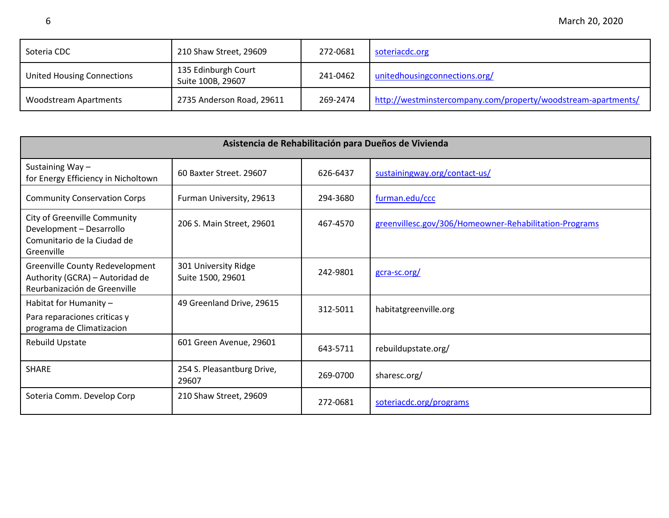| Soteria CDC                       | 210 Shaw Street, 29609                   | 272-0681 | soteriacdc.org                                                |
|-----------------------------------|------------------------------------------|----------|---------------------------------------------------------------|
| <b>United Housing Connections</b> | 135 Edinburgh Court<br>Suite 100B, 29607 | 241-0462 | unitedhousing connections.org/                                |
| <b>Woodstream Apartments</b>      | 2735 Anderson Road, 29611                | 269-2474 | http://westminstercompany.com/property/woodstream-apartments/ |

|                                                                                                       | Asistencia de Rehabilitación para Dueños de Vivienda |          |                                                        |  |  |
|-------------------------------------------------------------------------------------------------------|------------------------------------------------------|----------|--------------------------------------------------------|--|--|
| Sustaining Way-<br>for Energy Efficiency in Nicholtown                                                | 60 Baxter Street. 29607                              | 626-6437 | sustainingway.org/contact-us/                          |  |  |
| <b>Community Conservation Corps</b>                                                                   | Furman University, 29613                             | 294-3680 | furman.edu/ccc                                         |  |  |
| City of Greenville Community<br>Development - Desarrollo<br>Comunitario de la Ciudad de<br>Greenville | 206 S. Main Street, 29601                            | 467-4570 | greenvillesc.gov/306/Homeowner-Rehabilitation-Programs |  |  |
| Greenville County Redevelopment<br>Authority (GCRA) - Autoridad de<br>Reurbanización de Greenville    | 301 University Ridge<br>Suite 1500, 29601            | 242-9801 | gcra-sc.org/                                           |  |  |
| Habitat for Humanity -<br>Para reparaciones criticas y<br>programa de Climatizacion                   | 49 Greenland Drive, 29615                            | 312-5011 | habitatgreenville.org                                  |  |  |
| <b>Rebuild Upstate</b>                                                                                | 601 Green Avenue, 29601                              | 643-5711 | rebuildupstate.org/                                    |  |  |
| <b>SHARE</b>                                                                                          | 254 S. Pleasantburg Drive,<br>29607                  | 269-0700 | sharesc.org/                                           |  |  |
| Soteria Comm. Develop Corp                                                                            | 210 Shaw Street, 29609                               | 272-0681 | soteriacdc.org/programs                                |  |  |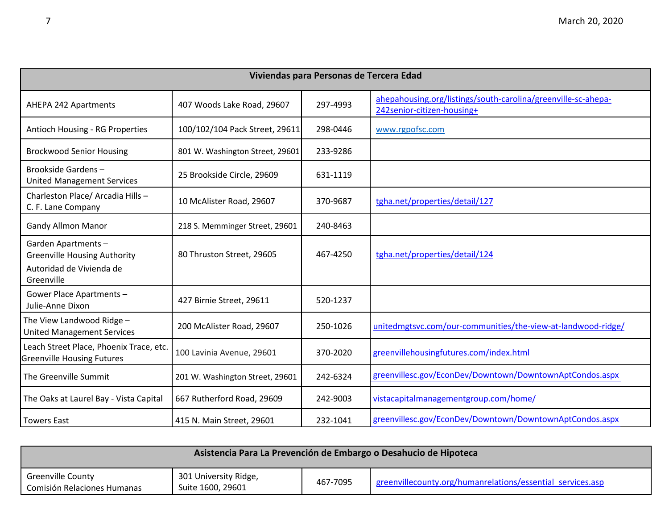| Viviendas para Personas de Tercera Edad                                                             |                                 |          |                                                                                             |  |
|-----------------------------------------------------------------------------------------------------|---------------------------------|----------|---------------------------------------------------------------------------------------------|--|
| AHEPA 242 Apartments                                                                                | 407 Woods Lake Road, 29607      | 297-4993 | ahepahousing.org/listings/south-carolina/greenville-sc-ahepa-<br>242senior-citizen-housing+ |  |
| <b>Antioch Housing - RG Properties</b>                                                              | 100/102/104 Pack Street, 29611  | 298-0446 | www.rgpofsc.com                                                                             |  |
| <b>Brockwood Senior Housing</b>                                                                     | 801 W. Washington Street, 29601 | 233-9286 |                                                                                             |  |
| Brookside Gardens-<br><b>United Management Services</b>                                             | 25 Brookside Circle, 29609      | 631-1119 |                                                                                             |  |
| Charleston Place/ Arcadia Hills -<br>C. F. Lane Company                                             | 10 McAlister Road, 29607        | 370-9687 | tgha.net/properties/detail/127                                                              |  |
| <b>Gandy Allmon Manor</b>                                                                           | 218 S. Memminger Street, 29601  | 240-8463 |                                                                                             |  |
| Garden Apartments-<br><b>Greenville Housing Authority</b><br>Autoridad de Vivienda de<br>Greenville | 80 Thruston Street, 29605       | 467-4250 | tgha.net/properties/detail/124                                                              |  |
| Gower Place Apartments -<br>Julie-Anne Dixon                                                        | 427 Birnie Street, 29611        | 520-1237 |                                                                                             |  |
| The View Landwood Ridge -<br><b>United Management Services</b>                                      | 200 McAlister Road, 29607       | 250-1026 | unitedmgtsvc.com/our-communities/the-view-at-landwood-ridge/                                |  |
| Leach Street Place, Phoenix Trace, etc.<br><b>Greenville Housing Futures</b>                        | 100 Lavinia Avenue, 29601       | 370-2020 | greenvillehousingfutures.com/index.html                                                     |  |
| The Greenville Summit                                                                               | 201 W. Washington Street, 29601 | 242-6324 | greenvillesc.gov/EconDev/Downtown/DowntownAptCondos.aspx                                    |  |
| The Oaks at Laurel Bay - Vista Capital                                                              | 667 Rutherford Road, 29609      | 242-9003 | vistacapitalmanagementgroup.com/home/                                                       |  |
| <b>Towers East</b>                                                                                  | 415 N. Main Street, 29601       | 232-1041 | greenvillesc.gov/EconDev/Downtown/DowntownAptCondos.aspx                                    |  |

| Asistencia Para La Prevención de Embargo o Desahucio de Hipoteca |                                            |          |                                                            |  |  |
|------------------------------------------------------------------|--------------------------------------------|----------|------------------------------------------------------------|--|--|
| <b>Greenville County</b><br>Comisión Relaciones Humanas          | 301 University Ridge,<br>Suite 1600, 29601 | 467-7095 | greenvillecounty.org/humanrelations/essential services.asp |  |  |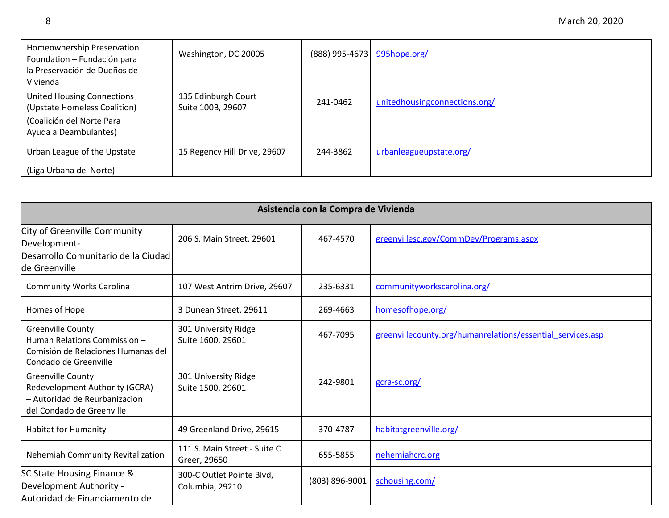| Homeownership Preservation<br>Foundation - Fundación para<br>la Preservación de Dueños de<br>Vivienda                   | Washington, DC 20005                     | (888) 995-4673 | 995hope.org/                   |
|-------------------------------------------------------------------------------------------------------------------------|------------------------------------------|----------------|--------------------------------|
| <b>United Housing Connections</b><br>(Upstate Homeless Coalition)<br>(Coalición del Norte Para<br>Ayuda a Deambulantes) | 135 Edinburgh Court<br>Suite 100B, 29607 | 241-0462       | unitedhousing connections.org/ |
| Urban League of the Upstate<br>(Liga Urbana del Norte)                                                                  | 15 Regency Hill Drive, 29607             | 244-3862       | urbanleagueupstate.org/        |

| Asistencia con la Compra de Vivienda                                                                                     |                                              |                |                                                            |  |  |
|--------------------------------------------------------------------------------------------------------------------------|----------------------------------------------|----------------|------------------------------------------------------------|--|--|
| City of Greenville Community<br>Development-<br>Desarrollo Comunitario de la Ciudad<br>de Greenville                     | 206 S. Main Street, 29601                    | 467-4570       | greenvillesc.gov/CommDev/Programs.aspx                     |  |  |
| <b>Community Works Carolina</b>                                                                                          | 107 West Antrim Drive, 29607                 | 235-6331       | communityworkscarolina.org/                                |  |  |
| Homes of Hope                                                                                                            | 3 Dunean Street, 29611                       | 269-4663       | homesofhope.org/                                           |  |  |
| <b>Greenville County</b><br>Human Relations Commission -<br>Comisión de Relaciones Humanas del<br>Condado de Greenville  | 301 University Ridge<br>Suite 1600, 29601    | 467-7095       | greenvillecounty.org/humanrelations/essential services.asp |  |  |
| <b>Greenville County</b><br>Redevelopment Authority (GCRA)<br>- Autoridad de Reurbanizacion<br>del Condado de Greenville | 301 University Ridge<br>Suite 1500, 29601    | 242-9801       | gcra-sc.org/                                               |  |  |
| <b>Habitat for Humanity</b>                                                                                              | 49 Greenland Drive, 29615                    | 370-4787       | habitatgreenville.org/                                     |  |  |
| Nehemiah Community Revitalization                                                                                        | 111 S. Main Street - Suite C<br>Greer, 29650 | 655-5855       | nehemiahcrc.org                                            |  |  |
| SC State Housing Finance &<br>Development Authority -<br>Autoridad de Financiamento de                                   | 300-C Outlet Pointe Blvd,<br>Columbia, 29210 | (803) 896-9001 | schousing.com/                                             |  |  |